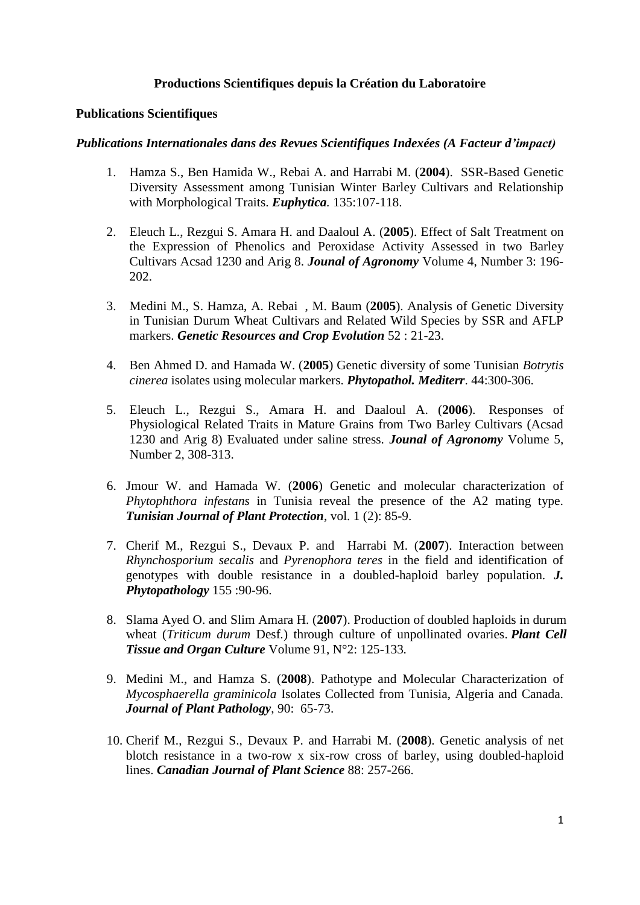# **Productions Scientifiques depuis la Création du Laboratoire**

## **Publications Scientifiques**

### *Publications Internationales dans des Revues Scientifiques Indexées (A Facteur d'impact)*

- 1. Hamza S., Ben Hamida W., Rebai A. and Harrabi M. (**2004**). SSR-Based Genetic Diversity Assessment among Tunisian Winter Barley Cultivars and Relationship with Morphological Traits. *Euphytica.* 135:107-118.
- 2. Eleuch L., Rezgui S. Amara H. and Daaloul A. (**2005**). Effect of Salt Treatment on the Expression of Phenolics and Peroxidase Activity Assessed in two Barley Cultivars Acsad 1230 and Arig 8. *Jounal of Agronomy* Volume 4, Number 3: 196- 202.
- 3. Medini M., S. Hamza, A. Rebai , M. Baum (**2005**). Analysis of Genetic Diversity in Tunisian Durum Wheat Cultivars and Related Wild Species by SSR and AFLP markers. *Genetic Resources and Crop Evolution* 52 : 21-23.
- 4. Ben Ahmed D. and Hamada W. (**2005**) Genetic diversity of some Tunisian *Botrytis cinerea* isolates using molecular markers. *Phytopathol. Mediterr*. 44:300-306.
- 5. Eleuch L., Rezgui S., Amara H. and Daaloul A. (**2006**). Responses of Physiological Related Traits in Mature Grains from Two Barley Cultivars (Acsad 1230 and Arig 8) Evaluated under saline stress. *Jounal of Agronomy* Volume 5, Number 2, 308-313.
- 6. Jmour W. and Hamada W. (**2006**) Genetic and molecular characterization of *Phytophthora infestans* in Tunisia reveal the presence of the A2 mating type. *Tunisian Journal of Plant Protection*, vol. 1 (2): 85-9.
- 7. Cherif M., Rezgui S., Devaux P. and Harrabi M. (**2007**). Interaction between *Rhynchosporium secalis* and *Pyrenophora teres* in the field and identification of genotypes with double resistance in a doubled-haploid barley population. *J. Phytopathology* 155 :90-96.
- 8. Slama Ayed O. and Slim Amara H. (**2007**). Production of doubled haploids in durum wheat (*Triticum durum* Desf*.*) through culture of unpollinated ovaries. *Plant Cell Tissue and Organ Culture* Volume 91, N°2: 125-133*.*
- 9. Medini M., and Hamza S. (**2008**). Pathotype and Molecular Characterization of *Mycosphaerella graminicola* Isolates Collected from Tunisia, Algeria and Canada. *Journal of Plant Pathology*, 90: 65-73.
- 10. Cherif M., Rezgui S., Devaux P. and Harrabi M. (**2008**). Genetic analysis of net blotch resistance in a two-row x six-row cross of barley, using doubled-haploid lines. *Canadian Journal of Plant Science* 88: 257-266.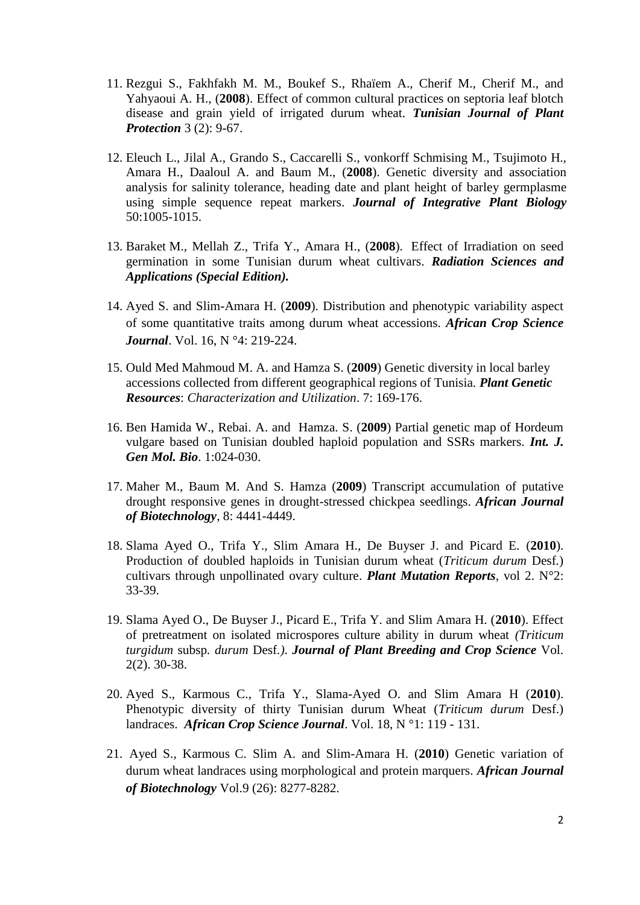- 11. Rezgui S., Fakhfakh M. M., Boukef S., Rhaïem A., Cherif M., Cherif M., and Yahyaoui A. H., (**2008**). Effect of common cultural practices on septoria leaf blotch disease and grain yield of irrigated durum wheat. *Tunisian Journal of Plant Protection* 3 (2): 9-67.
- 12. Eleuch L., Jilal A., Grando S., Caccarelli S., vonkorff Schmising M., Tsujimoto H., Amara H., Daaloul A. and Baum M., (**2008**). Genetic diversity and association analysis for salinity tolerance, heading date and plant height of barley germplasme using simple sequence repeat markers. *Journal of Integrative Plant Biology* 50:1005-1015.
- 13. Baraket M., Mellah Z., Trifa Y., Amara H., (**2008**). Effect of Irradiation on seed germination in some Tunisian durum wheat cultivars. *Radiation Sciences and Applications (Special Edition).*
- 14. Ayed S. and Slim-Amara H. (**2009**). Distribution and phenotypic variability aspect of some quantitative traits among durum wheat accessions. *African Crop Science Journal*. Vol. 16, N °4: 219-224.
- 15. Ould Med Mahmoud M. A. and Hamza S. (**2009**) Genetic diversity in local barley accessions collected from different geographical regions of Tunisia. *Plant Genetic Resources*: *Characterization and Utilization*. 7: 169-176.
- 16. Ben Hamida W., Rebai. A. and Hamza. S. (**2009**) Partial genetic map of Hordeum vulgare based on Tunisian doubled haploid population and SSRs markers. *Int. J. Gen Mol. Bio*. 1:024-030.
- 17. Maher M., Baum M. And S. Hamza (**2009**) Transcript accumulation of putative drought responsive genes in drought-stressed chickpea seedlings. *African Journal of Biotechnology,* 8: 4441-4449.
- 18. Slama Ayed O., Trifa Y., Slim Amara H., De Buyser J. and Picard E. (**2010**). Production of doubled haploids in Tunisian durum wheat (*Triticum durum* Desf*.*) cultivars through unpollinated ovary culture. *Plant Mutation Reports*, vol 2. N°2: 33-39.
- 19. Slama Ayed O., De Buyser J., Picard E., Trifa Y. and Slim Amara H. (**2010**). Effect of pretreatment on isolated microspores culture ability in durum wheat *(Triticum turgidum* subsp*. durum* Desf*.)*. *Journal of Plant Breeding and Crop Science* Vol. 2(2). 30-38.
- 20. Ayed S., Karmous C., Trifa Y., Slama-Ayed O. and Slim Amara H (**2010**). Phenotypic diversity of thirty Tunisian durum Wheat (*Triticum durum* Desf.) landraces. *African Crop Science Journal*. Vol. 18, N °1: 119 - 131.
- 21. Ayed S., Karmous C. Slim A. and Slim-Amara H. (**2010**) Genetic variation of durum wheat landraces using morphological and protein marquers. *African Journal of Biotechnology* Vol.9 (26): 8277-8282.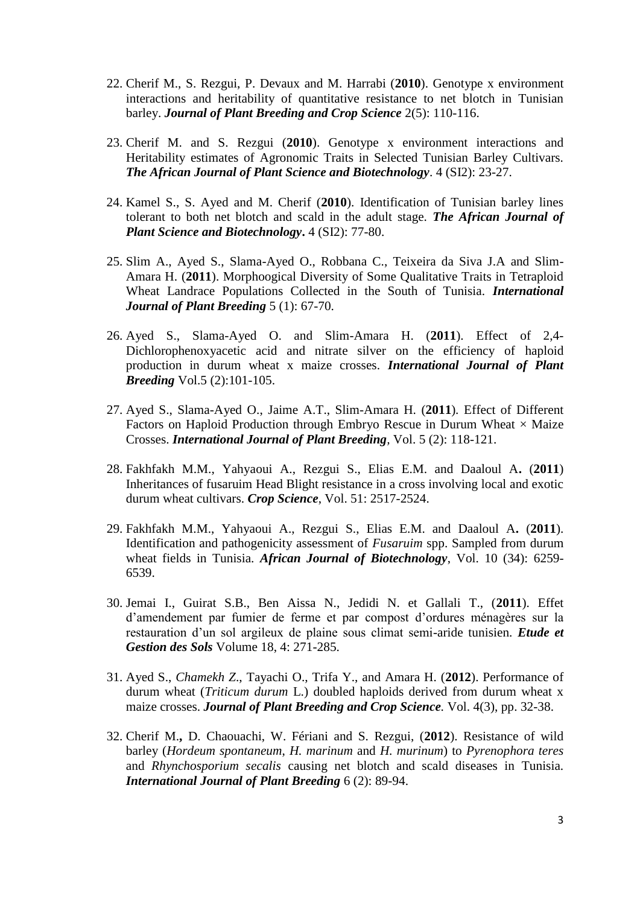- 22. Cherif M., S. Rezgui, P. Devaux and M. Harrabi (**2010**). Genotype x environment interactions and heritability of quantitative resistance to net blotch in Tunisian barley. *Journal of Plant Breeding and Crop Science* 2(5): 110-116.
- 23. Cherif M. and S. Rezgui (**2010**). Genotype x environment interactions and Heritability estimates of Agronomic Traits in Selected Tunisian Barley Cultivars. *The African Journal of Plant Science and Biotechnology*. 4 (SI2): 23-27.
- 24. Kamel S., S. Ayed and M. Cherif (**2010**). Identification of Tunisian barley lines tolerant to both net blotch and scald in the adult stage. *The African Journal of Plant Science and Biotechnology***.** 4 (SI2): 77-80.
- 25. Slim A., Ayed S., Slama-Ayed O., Robbana C., Teixeira da Siva J.A and Slim-Amara H. (**2011**). Morphoogical Diversity of Some Qualitative Traits in Tetraploid Wheat Landrace Populations Collected in the South of Tunisia. *International Journal of Plant Breeding* 5 (1): 67-70.
- 26. Ayed S., Slama-Ayed O. and Slim-Amara H. (**2011**). Effect of 2,4- Dichlorophenoxyacetic acid and nitrate silver on the efficiency of haploid production in durum wheat x maize crosses. *International Journal of Plant Breeding* Vol.5 (2):101-105.
- 27. Ayed S., Slama-Ayed O., Jaime A.T., Slim-Amara H. (**2011**)*.* Effect of Different Factors on Haploid Production through Embryo Rescue in Durum Wheat  $\times$  Maize Crosses. *International Journal of Plant Breeding,* Vol. 5 (2): 118-121.
- 28. Fakhfakh M.M., Yahyaoui A., Rezgui S., Elias E.M. and Daaloul A**.** (**2011**) Inheritances of fusaruim Head Blight resistance in a cross involving local and exotic durum wheat cultivars. *Crop Science*, Vol. 51: 2517-2524.
- 29. Fakhfakh M.M., Yahyaoui A., Rezgui S., Elias E.M. and Daaloul A**.** (**2011**). Identification and pathogenicity assessment of *Fusaruim* spp. Sampled from durum wheat fields in Tunisia. *African Journal of Biotechnology*, Vol. 10 (34): 6259- 6539.
- 30. Jemai I., Guirat S.B., Ben Aissa N., Jedidi N. et Gallali T., (**2011**). Effet d'amendement par fumier de ferme et par compost d'ordures ménagères sur la restauration d'un sol argileux de plaine sous climat semi-aride tunisien. *Etude et Gestion des Sols* Volume 18, 4: 271-285.
- 31. Ayed S., *Chamekh Z*., Tayachi O., Trifa Y., and Amara H. (**2012**). Performance of durum wheat (*Triticum durum* L.) doubled haploids derived from durum wheat x maize crosses. *Journal of Plant Breeding and Crop Science.* Vol. 4(3), pp. 32-38.
- 32. Cherif M.**,** D. Chaouachi, W. Fériani and S. Rezgui, (**2012**). Resistance of wild barley (*Hordeum spontaneum*, *H. marinum* and *H. murinum*) to *Pyrenophora teres*  and *Rhynchosporium secalis* causing net blotch and scald diseases in Tunisia. *International Journal of Plant Breeding* 6 (2): 89-94.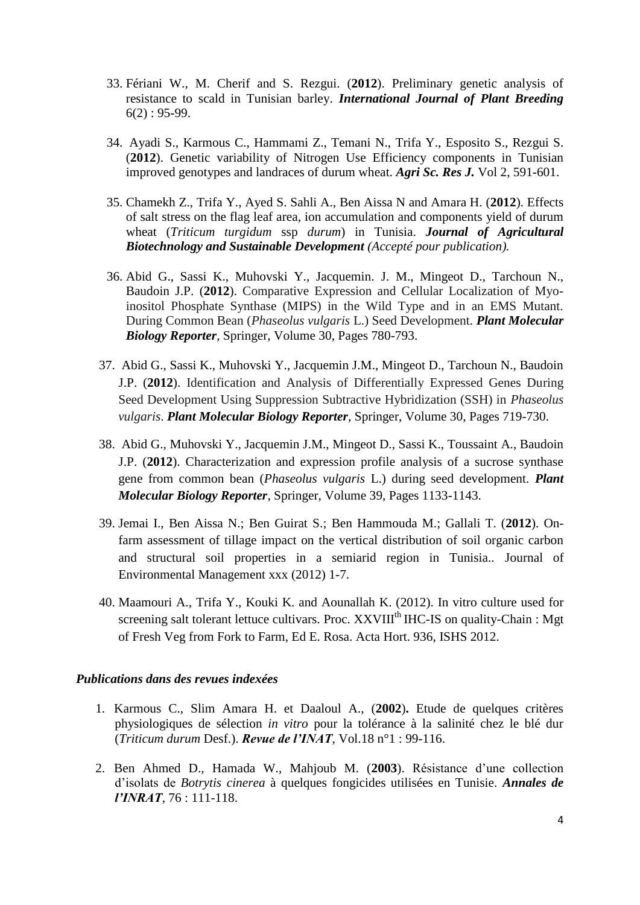- 33. Fériani W., M. Cherif and S. Rezgui. (**2012**). Preliminary genetic analysis of resistance to scald in Tunisian barley. *International Journal of Plant Breeding*  $6(2): 95-99.$
- 34. Ayadi S., Karmous C., Hammami Z., Temani N., Trifa Y., Esposito S., Rezgui S. (**2012**). Genetic variability of Nitrogen Use Efficiency components in Tunisian improved genotypes and landraces of durum wheat. *Agri Sc. Res J.* Vol 2, 591-601.
- 35. Chamekh Z., Trifa Y., Ayed S. Sahli A., Ben Aissa N and Amara H. (**2012**). Effects of salt stress on the flag leaf area, ion accumulation and components yield of durum wheat (*Triticum turgidum* ssp *durum*) in Tunisia. *Journal of Agricultural Biotechnology and Sustainable Development (Accepté pour publication).*
- 36. Abid G., Sassi K., Muhovski Y., Jacquemin. J. M., Mingeot D., Tarchoun N., Baudoin J.P. (**2012**). Comparative Expression and Cellular Localization of Myoinositol Phosphate Synthase (MIPS) in the Wild Type and in an EMS Mutant. During Common Bean (*Phaseolus vulgaris* L.) Seed Development. *Plant Molecular Biology Reporter*, Springer, Volume 30, Pages 780-793.
- 37. Abid G., Sassi K., Muhovski Y., Jacquemin J.M., Mingeot D., Tarchoun N., Baudoin J.P. (**2012**). Identification and Analysis of Differentially Expressed Genes During Seed Development Using Suppression Subtractive Hybridization (SSH) in *Phaseolus vulgaris*. *Plant Molecular Biology Reporter,* Springer, Volume 30, Pages 719-730.
- 38. Abid G., Muhovski Y., Jacquemin J.M., Mingeot D., Sassi K., Toussaint A., Baudoin J.P. (**2012**). Characterization and expression profile analysis of a sucrose synthase gene from common bean (*Phaseolus vulgaris* L.) during seed development. *Plant Molecular Biology Reporter,* Springer, Volume 39, Pages 1133-1143.
- 39. Jemai I., Ben Aissa N.; Ben Guirat S.; Ben Hammouda M.; Gallali T. (**2012**). Onfarm assessment of tillage impact on the vertical distribution of soil organic carbon and structural soil properties in a semiarid region in Tunisia.. Journal of Environmental Management xxx (2012) 1-7.
- 40. Maamouri A., Trifa Y., Kouki K. and Aounallah K. (2012). In vitro culture used for screening salt tolerant lettuce cultivars. Proc. XXVIII<sup>th</sup> IHC-IS on quality-Chain : Mgt of Fresh Veg from Fork to Farm, Ed E. Rosa. Acta Hort. 936, ISHS 2012.

## *Publications dans des revues indexées*

- 1. Karmous C., Slim Amara H. et Daaloul A., (**2002**)**.** Etude de quelques critères physiologiques de sélection *in vitro* pour la tolérance à la salinité chez le blé dur (*Triticum durum* Desf.). *Revue de l'INAT*, Vol.18 n°1 : 99-116.
- 2. Ben Ahmed D., Hamada W., Mahjoub M. (**2003**). Résistance d'une collection d'isolats de *Botrytis cinerea* à quelques fongicides utilisées en Tunisie. *Annales de l'INRAT*, 76 : 111-118.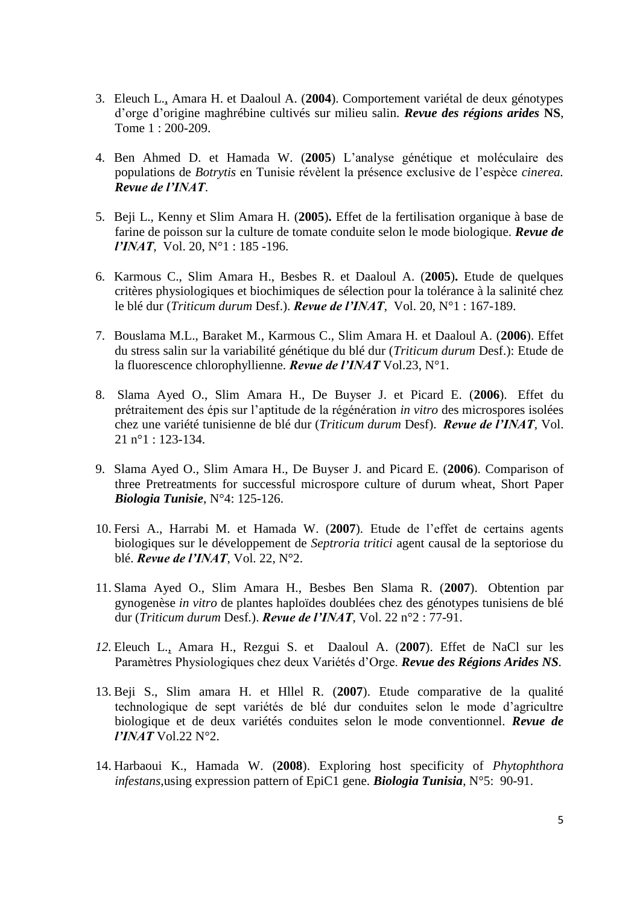- 3. Eleuch L., Amara H. et Daaloul A. (**2004**). Comportement variétal de deux génotypes d'orge d'origine maghrébine cultivés sur milieu salin. *Revue des régions arides* **NS**, Tome 1 : 200-209.
- 4. Ben Ahmed D. et Hamada W. (**2005**) L'analyse génétique et moléculaire des populations de *Botrytis* en Tunisie révèlent la présence exclusive de l'espèce *cinerea. Revue de l'INAT*.
- 5. Beji L., Kenny et Slim Amara H. (**2005**)**.** Effet de la fertilisation organique à base de farine de poisson sur la culture de tomate conduite selon le mode biologique. *Revue de l'INAT*, Vol. 20, N°1 : 185 -196.
- 6. Karmous C., Slim Amara H., Besbes R. et Daaloul A. (**2005**)**.** Etude de quelques critères physiologiques et biochimiques de sélection pour la tolérance à la salinité chez le blé dur (*Triticum durum* Desf.). *Revue de l'INAT*, Vol. 20, N°1 : 167-189.
- 7. Bouslama M.L., Baraket M., Karmous C., Slim Amara H. et Daaloul A. (**2006**). Effet du stress salin sur la variabilité génétique du blé dur (*Triticum durum* Desf.): Etude de la fluorescence chlorophyllienne. *Revue de l'INAT* Vol.23, N°1.
- 8. Slama Ayed O., Slim Amara H., De Buyser J. et Picard E. (**2006**). Effet du prétraitement des épis sur l'aptitude de la régénération *in vitro* des microspores isolées chez une variété tunisienne de blé dur (*Triticum durum* Desf). *Revue de l'INAT*, Vol. 21 n°1 : 123-134.
- 9. Slama Ayed O., Slim Amara H., De Buyser J. and Picard E. (**2006**). Comparison of three Pretreatments for successful microspore culture of durum wheat, Short Paper *Biologia Tunisie*, N°4: 125-126.
- 10. Fersi A., Harrabi M. et Hamada W. (**2007**). Etude de l'effet de certains agents biologiques sur le développement de *Septroria tritici* agent causal de la septoriose du blé. *Revue de l'INAT*, Vol. 22, N°2.
- 11. Slama Ayed O., Slim Amara H., Besbes Ben Slama R. (**2007**). Obtention par gynogenèse *in vitro* de plantes haploïdes doublées chez des génotypes tunisiens de blé dur (*Triticum durum* Desf*.*). *Revue de l'INAT*, Vol. 22 n°2 : 77-91.
- *12.* Eleuch L., Amara H., Rezgui S. et Daaloul A. (**2007**). Effet de NaCl sur les Paramètres Physiologiques chez deux Variétés d'Orge. *Revue des Régions Arides NS.*
- 13. Beji S., Slim amara H. et Hllel R. (**2007**). Etude comparative de la qualité technologique de sept variétés de blé dur conduites selon le mode d'agricultre biologique et de deux variétés conduites selon le mode conventionnel. *Revue de l'INAT* Vol.22 N°2.
- 14. Harbaoui K., Hamada W. (**2008**). Exploring host specificity of *Phytophthora infestans*,using expression pattern of EpiC1 gene. *Biologia Tunisia*, N°5: 90-91.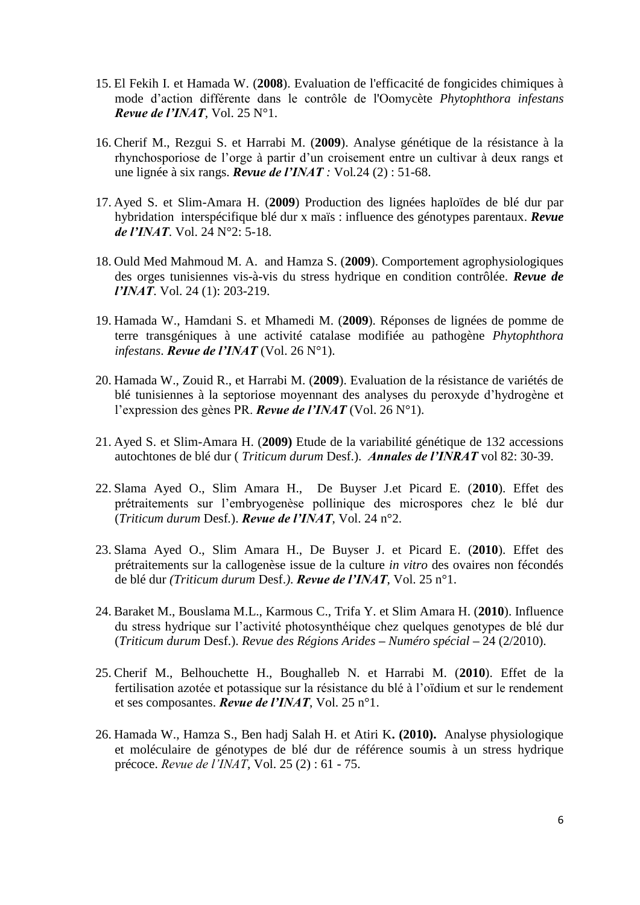- 15. El Fekih I. et Hamada W. (**2008**). Evaluation de l'efficacité de fongicides chimiques à mode d'action différente dans le contrôle de l'Oomycète *Phytophthora infestans Revue de l'INAT*, Vol. 25 N°1.
- 16. Cherif M., Rezgui S. et Harrabi M. (**2009**). Analyse génétique de la résistance à la rhynchosporiose de l'orge à partir d'un croisement entre un cultivar à deux rangs et une lignée à six rangs. *Revue de l'INAT :* Vol*.*24 (2) : 51-68.
- 17. Ayed S. et Slim-Amara H. (**2009**) Production des lignées haploïdes de blé dur par hybridation interspécifique blé dur x maïs : influence des génotypes parentaux. *Revue de l'INAT*. Vol. 24 N°2: 5-18.
- 18. Ould Med Mahmoud M. A. and Hamza S. (**2009**). Comportement agrophysiologiques des orges tunisiennes vis-à-vis du stress hydrique en condition contrôlée. *Revue de l'INAT*. Vol. 24 (1): 203-219.
- 19. Hamada W., Hamdani S. et Mhamedi M. (**2009**). Réponses de lignées de pomme de terre transgéniques à une activité catalase modifiée au pathogène *Phytophthora infestans*. *Revue de l'INAT* (Vol. 26 N°1).
- 20. Hamada W., Zouid R., et Harrabi M. (**2009**). Evaluation de la résistance de variétés de blé tunisiennes à la septoriose moyennant des analyses du peroxyde d'hydrogène et l'expression des gènes PR. *Revue de l'INAT* (Vol. 26 N°1).
- 21. Ayed S. et Slim-Amara H. (**2009)** Etude de la variabilité génétique de 132 accessions autochtones de blé dur ( *Triticum durum* Desf.). *Annales de l'INRAT* vol 82: 30-39.
- 22. Slama Ayed O., Slim Amara H., De Buyser J.et Picard E. (**2010**). Effet des prétraitements sur l'embryogenèse pollinique des microspores chez le blé dur (*Triticum durum* Desf*.*). *Revue de l'INAT*, Vol. 24 n°2.
- 23. Slama Ayed O., Slim Amara H., De Buyser J. et Picard E. (**2010**). Effet des prétraitements sur la callogenèse issue de la culture *in vitro* des ovaires non fécondés de blé dur *(Triticum durum* Desf.*)*. *Revue de l'INAT*, Vol. 25 n°1.
- 24. Baraket M., Bouslama M.L., Karmous C., Trifa Y. et Slim Amara H. (**2010**). Influence du stress hydrique sur l'activité photosynthéique chez quelques genotypes de blé dur (*Triticum durum* Desf.). *Revue des Régions Arides – Numéro spécial* **–** 24 (2/2010).
- 25. Cherif M., Belhouchette H., Boughalleb N. et Harrabi M. (**2010**). Effet de la fertilisation azotée et potassique sur la résistance du blé à l'oïdium et sur le rendement et ses composantes. *Revue de l'INAT*, Vol. 25 n°1.
- 26. Hamada W., Hamza S., Ben hadj Salah H. et Atiri K**. (2010).** Analyse physiologique et moléculaire de génotypes de blé dur de référence soumis à un stress hydrique précoce. *Revue de l'INAT*, Vol. 25 (2) : 61 - 75.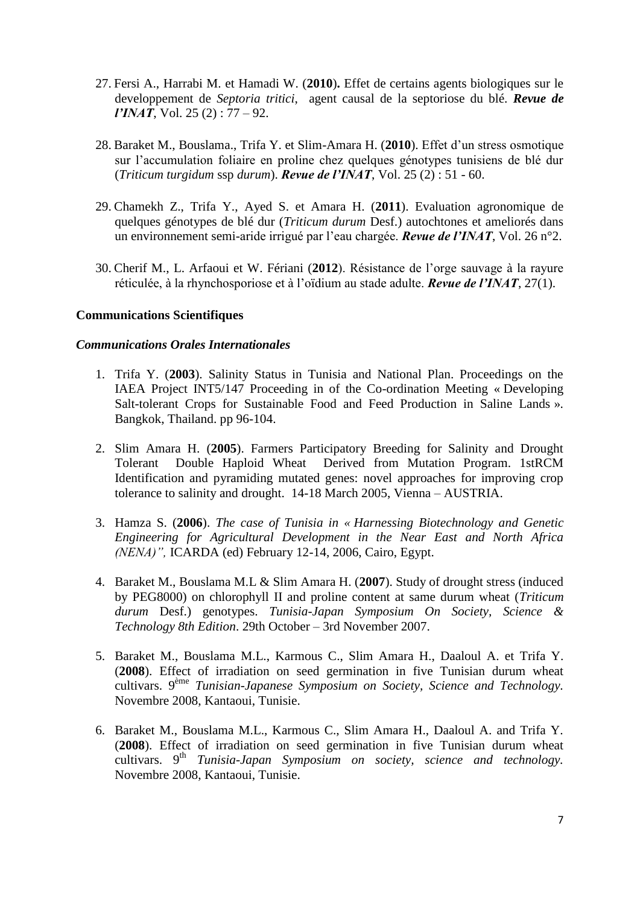- 27. Fersi A., Harrabi M. et Hamadi W. (**2010**)**.** Effet de certains agents biologiques sur le developpement de *Septoria tritici*, agent causal de la septoriose du blé. *Revue de l'INAT*, Vol. 25 (2) : 77 – 92.
- 28. Baraket M., Bouslama., Trifa Y. et Slim-Amara H. (**2010**). Effet d'un stress osmotique sur l'accumulation foliaire en proline chez quelques génotypes tunisiens de blé dur (*Triticum turgidum* ssp *durum*). *Revue de l'INAT*, Vol. 25 (2) : 51 - 60.
- 29. Chamekh Z., Trifa Y., Ayed S. et Amara H. (**2011**). Evaluation agronomique de quelques génotypes de blé dur (*Triticum durum* Desf.) autochtones et ameliorés dans un environnement semi-aride irrigué par l'eau chargée. *Revue de l'INAT*, Vol. 26 n°2.
- 30. Cherif M., L. Arfaoui et W. Fériani (**2012**). Résistance de l'orge sauvage à la rayure réticulée, à la rhynchosporiose et à l'oïdium au stade adulte. *Revue de l'INAT*, 27(1).

# **Communications Scientifiques**

### *Communications Orales Internationales*

- 1. Trifa Y. (**2003**). Salinity Status in Tunisia and National Plan. Proceedings on the IAEA Project INT5/147 Proceeding in of the Co-ordination Meeting « Developing Salt-tolerant Crops for Sustainable Food and Feed Production in Saline Lands ». Bangkok, Thailand. pp 96-104.
- 2. Slim Amara H. (**2005**). Farmers Participatory Breeding for Salinity and Drought Tolerant Double Haploid Wheat Derived from Mutation Program. 1stRCM Identification and pyramiding mutated genes: novel approaches for improving crop tolerance to salinity and drought. 14-18 March 2005, Vienna – AUSTRIA.
- 3. Hamza S. (**2006**). *The case of Tunisia in « Harnessing Biotechnology and Genetic Engineering for Agricultural Development in the Near East and North Africa (NENA)",* ICARDA (ed) February 12-14, 2006, Cairo, Egypt.
- 4. Baraket M., Bouslama M.L & Slim Amara H. (**2007**). Study of drought stress (induced by PEG8000) on chlorophyll II and proline content at same durum wheat (*Triticum durum* Desf.) genotypes. *Tunisia-Japan Symposium On Society, Science & Technology 8th Edition*. 29th October – 3rd November 2007.
- 5. Baraket M., Bouslama M.L., Karmous C., Slim Amara H., Daaloul A. et Trifa Y. (**2008**). Effect of irradiation on seed germination in five Tunisian durum wheat cultivars. 9 ème *Tunisian-Japanese Symposium on Society, Science and Technology.* Novembre 2008, Kantaoui, Tunisie.
- 6. Baraket M., Bouslama M.L., Karmous C., Slim Amara H., Daaloul A. and Trifa Y. (**2008**). Effect of irradiation on seed germination in five Tunisian durum wheat cultivars. 9<sup>th</sup> *Tunisia-Japan Symposium on society, science and technology*. Novembre 2008, Kantaoui, Tunisie.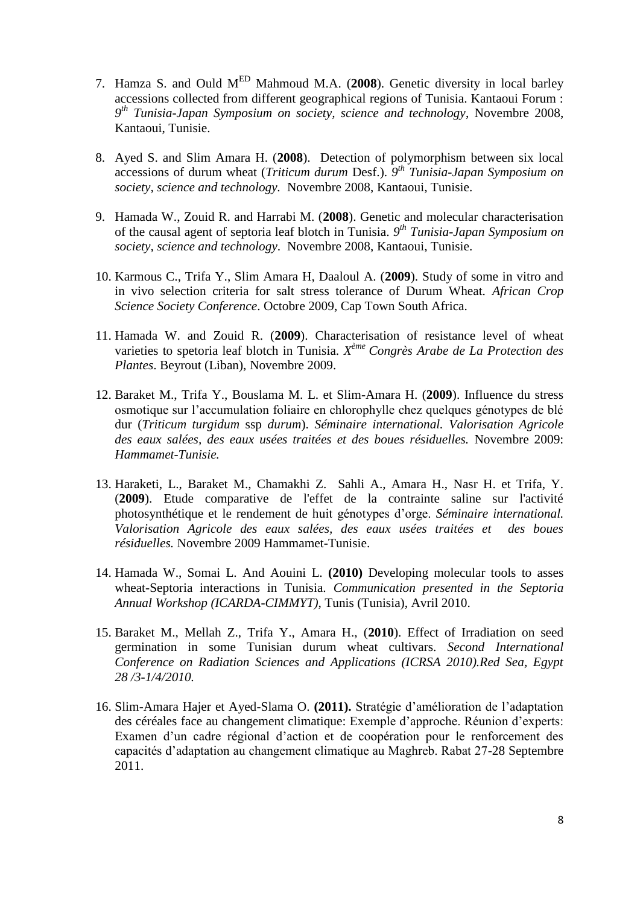- 7. Hamza S. and Ould MED Mahmoud M.A. (**2008**). Genetic diversity in local barley accessions collected from different geographical regions of Tunisia. Kantaoui Forum : *9 th Tunisia-Japan Symposium on society, science and technology*, Novembre 2008, Kantaoui, Tunisie.
- 8. Ayed S. and Slim Amara H. (**2008**). Detection of polymorphism between six local accessions of durum wheat (*Triticum durum* Desf.). *9 th Tunisia-Japan Symposium on society, science and technology.* Novembre 2008, Kantaoui, Tunisie.
- 9. Hamada W., Zouid R. and Harrabi M. (**2008**). Genetic and molecular characterisation of the causal agent of septoria leaf blotch in Tunisia. *9 th Tunisia-Japan Symposium on society, science and technology*. Novembre 2008, Kantaoui, Tunisie.
- 10. Karmous C., Trifa Y., Slim Amara H, Daaloul A. (**2009**). Study of some in vitro and in vivo selection criteria for salt stress tolerance of Durum Wheat. *African Crop Science Society Conference*. Octobre 2009, Cap Town South Africa.
- 11. Hamada W. and Zouid R. (**2009**). Characterisation of resistance level of wheat varieties to spetoria leaf blotch in Tunisia. *X ème Congrès Arabe de La Protection des Plantes*. Beyrout (Liban), Novembre 2009.
- 12. Baraket M., Trifa Y., Bouslama M. L. et Slim-Amara H. (**2009**). Influence du stress osmotique sur l'accumulation foliaire en chlorophylle chez quelques génotypes de blé dur (*Triticum turgidum* ssp *durum*). *Séminaire international. Valorisation Agricole des eaux salées, des eaux usées traitées et des boues résiduelles.* Novembre 2009: *Hammamet-Tunisie.*
- 13. Haraketi, L., Baraket M., Chamakhi Z. Sahli A., Amara H., Nasr H. et Trifa, Y. (**2009**). Etude comparative de l'effet de la contrainte saline sur l'activité photosynthétique et le rendement de huit génotypes d'orge. *Séminaire international. Valorisation Agricole des eaux salées, des eaux usées traitées et des boues résiduelles.* Novembre 2009 Hammamet-Tunisie.
- 14. Hamada W., Somai L. And Aouini L. **(2010)** Developing molecular tools to asses wheat-Septoria interactions in Tunisia. *Communication presented in the Septoria Annual Workshop (ICARDA-CIMMYT)*, Tunis (Tunisia), Avril 2010.
- 15. Baraket M., Mellah Z., Trifa Y., Amara H., (**2010**). Effect of Irradiation on seed germination in some Tunisian durum wheat cultivars. *Second International Conference on Radiation Sciences and Applications (ICRSA 2010).Red Sea, Egypt 28 /3-1/4/2010.*
- 16. Slim-Amara Hajer et Ayed-Slama O. **(2011).** Stratégie d'amélioration de l'adaptation des céréales face au changement climatique: Exemple d'approche. Réunion d'experts: Examen d'un cadre régional d'action et de coopération pour le renforcement des capacités d'adaptation au changement climatique au Maghreb. Rabat 27-28 Septembre 2011.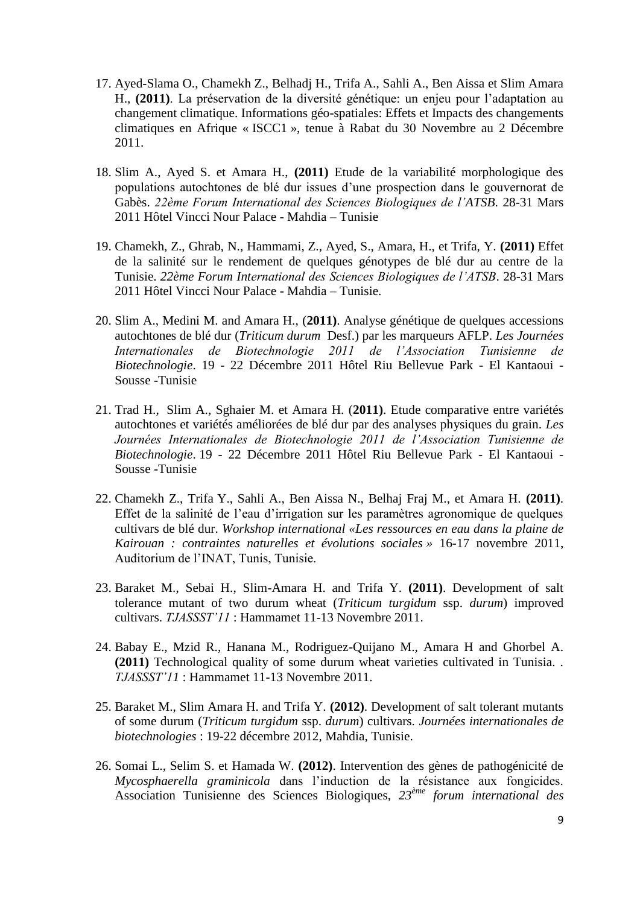- 17. Ayed-Slama O., Chamekh Z., Belhadj H., Trifa A., Sahli A., Ben Aissa et Slim Amara H., **(2011)**. La préservation de la diversité génétique: un enjeu pour l'adaptation au changement climatique. Informations géo-spatiales: Effets et Impacts des changements climatiques en Afrique « ISCC1 », tenue à Rabat du 30 Novembre au 2 Décembre 2011.
- 18. Slim A., Ayed S. et Amara H., **(2011)** Etude de la variabilité morphologique des populations autochtones de blé dur issues d'une prospection dans le gouvernorat de Gabès. *22ème Forum International des Sciences Biologiques de l'ATSB*. 28-31 Mars 2011 Hôtel Vincci Nour Palace - Mahdia – Tunisie
- 19. Chamekh, Z., Ghrab, N., Hammami, Z., Ayed, S., Amara, H., et Trifa, Y. **(2011)** Effet de la salinité sur le rendement de quelques génotypes de blé dur au centre de la Tunisie. *22ème Forum International des Sciences Biologiques de l'ATSB*. 28-31 Mars 2011 Hôtel Vincci Nour Palace - Mahdia – Tunisie.
- 20. Slim A., Medini M. and Amara H., (**2011)**. Analyse génétique de quelques accessions autochtones de blé dur (*Triticum durum* Desf.) par les marqueurs AFLP. *Les Journées Internationales de Biotechnologie 2011 de l'Association Tunisienne de Biotechnologie*. 19 - 22 Décembre 2011 Hôtel Riu Bellevue Park - El Kantaoui - Sousse -Tunisie
- 21. Trad H., Slim A., Sghaier M. et Amara H. (**2011)**. Etude comparative entre variétés autochtones et variétés améliorées de blé dur par des analyses physiques du grain. *Les Journées Internationales de Biotechnologie 2011 de l'Association Tunisienne de Biotechnologie*. 19 - 22 Décembre 2011 Hôtel Riu Bellevue Park - El Kantaoui - Sousse -Tunisie
- 22. Chamekh Z., Trifa Y., Sahli A., Ben Aissa N., Belhaj Fraj M., et Amara H. **(2011)**. Effet de la salinité de l'eau d'irrigation sur les paramètres agronomique de quelques cultivars de blé dur. *Workshop international «Les ressources en eau dans la plaine de Kairouan : contraintes naturelles et évolutions sociales »* 16-17 novembre 2011, Auditorium de l'INAT, Tunis, Tunisie.
- 23. Baraket M., Sebai H., Slim-Amara H. and Trifa Y. **(2011)**. Development of salt tolerance mutant of two durum wheat (*Triticum turgidum* ssp. *durum*) improved cultivars. *TJASSST'11* : Hammamet 11-13 Novembre 2011.
- 24. Babay E., Mzid R., Hanana M., Rodriguez-Quijano M., Amara H and Ghorbel A. **(2011)** Technological quality of some durum wheat varieties cultivated in Tunisia. . *TJASSST'11* : Hammamet 11-13 Novembre 2011.
- 25. Baraket M., Slim Amara H. and Trifa Y. **(2012)**. Development of salt tolerant mutants of some durum (*Triticum turgidum* ssp. *durum*) cultivars. *Journées internationales de biotechnologies* : 19-22 décembre 2012, Mahdia, Tunisie.
- 26. Somai L., Selim S. et Hamada W. **(2012)**. Intervention des gènes de pathogénicité de *Mycosphaerella graminicola* dans l'induction de la résistance aux fongicides. Association Tunisienne des Sciences Biologiques, *23ème forum international des*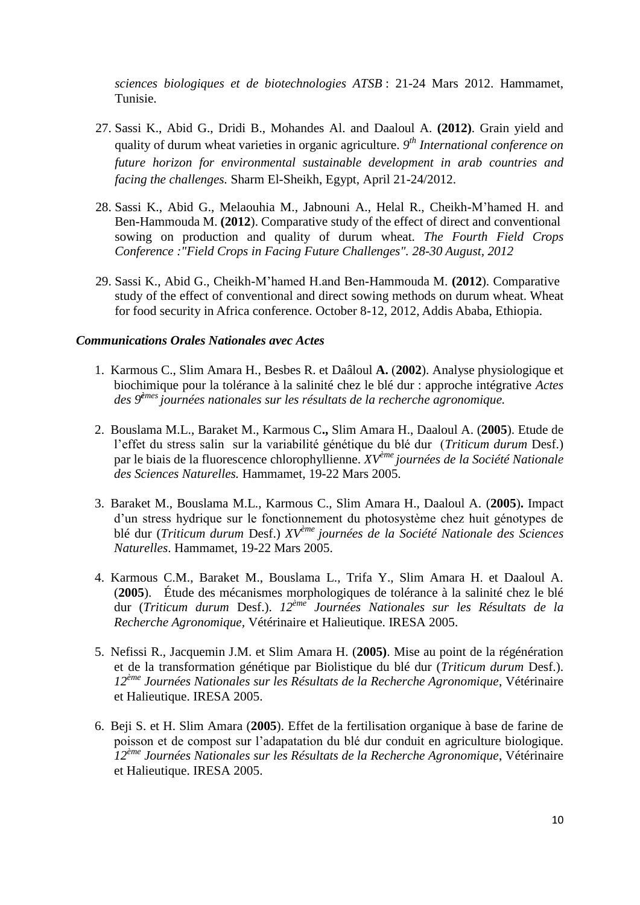*sciences biologiques et de biotechnologies ATSB* : 21-24 Mars 2012. Hammamet, Tunisie.

- 27. Sassi K., Abid G., Dridi B., Mohandes Al. and Daaloul A. **(2012)**. Grain yield and quality of durum wheat varieties in organic agriculture. *9 th International conference on future horizon for environmental sustainable development in arab countries and facing the challenges.* Sharm El-Sheikh, Egypt, April 21-24/2012.
- 28. Sassi K., Abid G., Melaouhia M., Jabnouni A., Helal R., Cheikh-M'hamed H. and Ben-Hammouda M. **(2012**). Comparative study of the effect of direct and conventional sowing on production and quality of durum wheat. *The Fourth Field Crops Conference :"Field Crops in Facing Future Challenges". 28-30 August, 2012*
- 29. Sassi K., Abid G., Cheikh-M'hamed H.and Ben-Hammouda M. **(2012**). Comparative study of the effect of conventional and direct sowing methods on durum wheat. Wheat for food security in Africa conference. October 8-12, 2012, Addis Ababa, Ethiopia.

### *Communications Orales Nationales avec Actes*

- 1. Karmous C., Slim Amara H., Besbes R. et Daâloul **A.** (**2002**). Analyse physiologique et biochimique pour la tolérance à la salinité chez le blé dur : approche intégrative *Actes des 9<sup>è</sup>mes journées nationales sur les résultats de la recherche agronomique.*
- 2. Bouslama M.L., Baraket M., Karmous C**.,** Slim Amara H., Daaloul A. (**2005**). Etude de l'effet du stress salin sur la variabilité génétique du blé dur (*Triticum durum* Desf.) par le biais de la fluorescence chlorophyllienne. *XVème journées de la Société Nationale des Sciences Naturelles.* Hammamet, 19-22 Mars 2005.
- 3. Baraket M., Bouslama M.L., Karmous C., Slim Amara H., Daaloul A. (**2005**)**.** Impact d'un stress hydrique sur le fonctionnement du photosystème chez huit génotypes de blé dur (*Triticum durum* Desf.) *XVème journées de la Société Nationale des Sciences Naturelles*. Hammamet, 19-22 Mars 2005.
- 4. Karmous C.M., Baraket M., Bouslama L., Trifa Y., Slim Amara H. et Daaloul A. (**2005**). Étude des mécanismes morphologiques de tolérance à la salinité chez le blé dur (*Triticum durum* Desf.). *12ème Journées Nationales sur les Résultats de la Recherche Agronomique,* Vétérinaire et Halieutique. IRESA 2005.
- 5. Nefissi R., Jacquemin J.M. et Slim Amara H. (**2005)**. Mise au point de la régénération et de la transformation génétique par Biolistique du blé dur (*Triticum durum* Desf.). *12ème Journées Nationales sur les Résultats de la Recherche Agronomique*, Vétérinaire et Halieutique. IRESA 2005.
- 6. Beji S. et H. Slim Amara (**2005**). Effet de la fertilisation organique à base de farine de poisson et de compost sur l'adapatation du blé dur conduit en agriculture biologique. *12ème Journées Nationales sur les Résultats de la Recherche Agronomique*, Vétérinaire et Halieutique. IRESA 2005.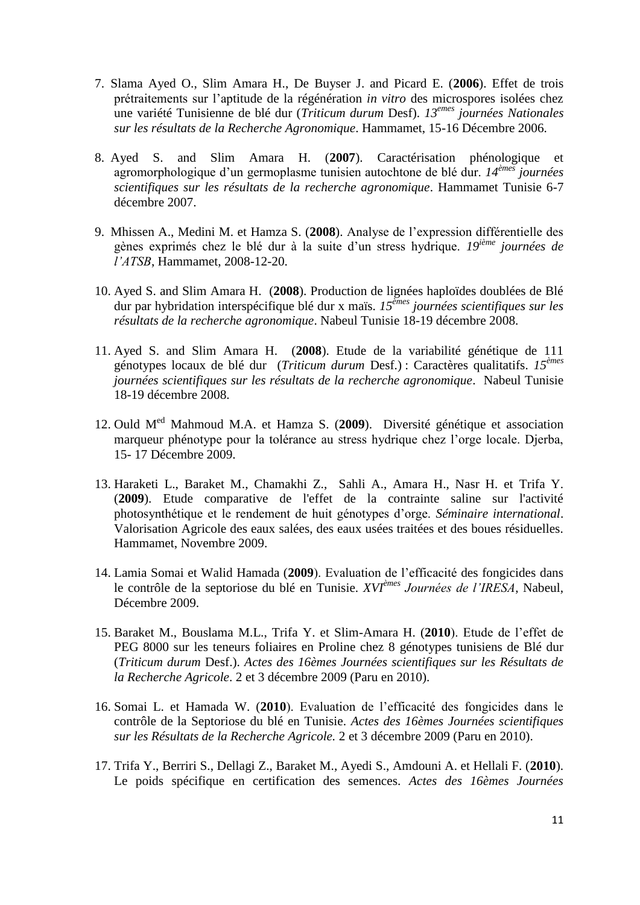- 7. Slama Ayed O., Slim Amara H., De Buyser J. and Picard E. (**2006**). Effet de trois prétraitements sur l'aptitude de la régénération *in vitro* des microspores isolées chez une variété Tunisienne de blé dur (*Triticum durum* Desf). *13emes journées Nationales sur les résultats de la Recherche Agronomique*. Hammamet, 15-16 Décembre 2006.
- 8. Ayed S. and Slim Amara H. (**2007**). Caractérisation phénologique et agromorphologique d'un germoplasme tunisien autochtone de blé dur. *14èmes journées scientifiques sur les résultats de la recherche agronomique*. Hammamet Tunisie 6-7 décembre 2007.
- 9. Mhissen A., Medini M. et Hamza S. (**2008**). Analyse de l'expression différentielle des gènes exprimés chez le blé dur à la suite d'un stress hydrique. *19ième journées de l'ATSB*, Hammamet, 2008-12-20.
- 10. Ayed S. and Slim Amara H. (**2008**). Production de lignées haploïdes doublées de Blé dur par hybridation interspécifique blé dur x maïs. *15èmes journées scientifiques sur les résultats de la recherche agronomique*. Nabeul Tunisie 18-19 décembre 2008.
- 11. Ayed S. and Slim Amara H. (**2008**). Etude de la variabilité génétique de 111 génotypes locaux de blé dur (*Triticum durum* Desf.) : Caractères qualitatifs. *15èmes journées scientifiques sur les résultats de la recherche agronomique*. Nabeul Tunisie 18-19 décembre 2008.
- 12. Ould Med Mahmoud M.A. et Hamza S. (**2009**). Diversité génétique et association marqueur phénotype pour la tolérance au stress hydrique chez l'orge locale. Djerba, 15- 17 Décembre 2009.
- 13. Haraketi L., Baraket M., Chamakhi Z., Sahli A., Amara H., Nasr H. et Trifa Y. (**2009**). Etude comparative de l'effet de la contrainte saline sur l'activité photosynthétique et le rendement de huit génotypes d'orge. *Séminaire international*. Valorisation Agricole des eaux salées, des eaux usées traitées et des boues résiduelles. Hammamet, Novembre 2009.
- 14. Lamia Somai et Walid Hamada (**2009**). Evaluation de l'efficacité des fongicides dans le contrôle de la septoriose du blé en Tunisie. *XVIèmes Journées de l'IRESA*, Nabeul, Décembre 2009.
- 15. Baraket M., Bouslama M.L., Trifa Y. et Slim-Amara H. (**2010**). Etude de l'effet de PEG 8000 sur les teneurs foliaires en Proline chez 8 génotypes tunisiens de Blé dur (*Triticum durum* Desf.). *Actes des 16èmes Journées scientifiques sur les Résultats de la Recherche Agricole*. 2 et 3 décembre 2009 (Paru en 2010).
- 16. Somai L. et Hamada W. (**2010**). Evaluation de l'efficacité des fongicides dans le contrôle de la Septoriose du blé en Tunisie. *Actes des 16èmes Journées scientifiques sur les Résultats de la Recherche Agricole.* 2 et 3 décembre 2009 (Paru en 2010).
- 17. Trifa Y., Berriri S., Dellagi Z., Baraket M., Ayedi S., Amdouni A. et Hellali F. (**2010**). Le poids spécifique en certification des semences. *Actes des 16èmes Journées*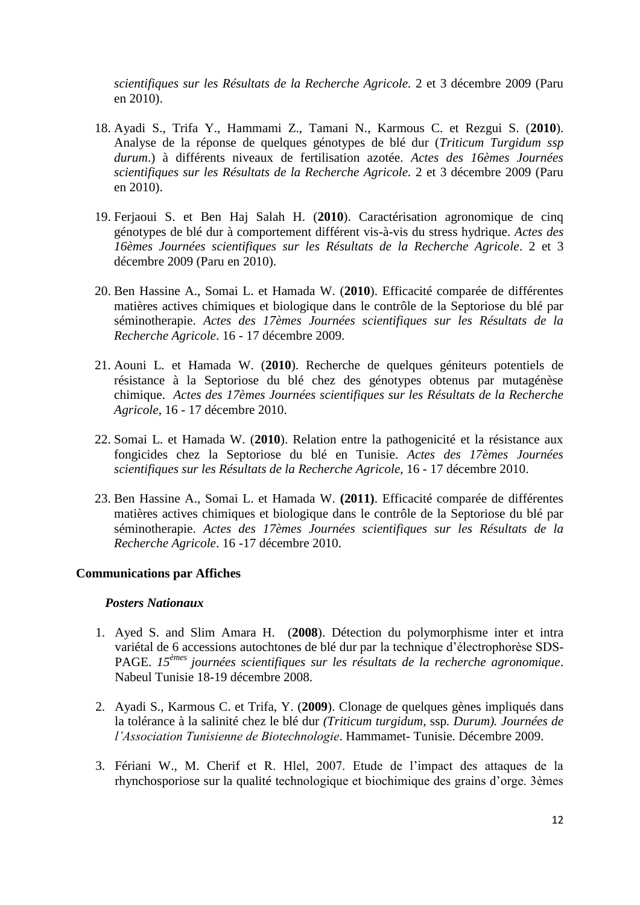*scientifiques sur les Résultats de la Recherche Agricole.* 2 et 3 décembre 2009 (Paru en 2010).

- 18. Ayadi S., Trifa Y., Hammami Z., Tamani N., Karmous C. et Rezgui S. (**2010**). Analyse de la réponse de quelques génotypes de blé dur (*Triticum Turgidum ssp durum*.) à différents niveaux de fertilisation azotée. *Actes des 16èmes Journées scientifiques sur les Résultats de la Recherche Agricole.* 2 et 3 décembre 2009 (Paru en 2010).
- 19. Ferjaoui S. et Ben Haj Salah H. (**2010**). Caractérisation agronomique de cinq génotypes de blé dur à comportement différent vis-à-vis du stress hydrique. *Actes des 16èmes Journées scientifiques sur les Résultats de la Recherche Agricole*. 2 et 3 décembre 2009 (Paru en 2010).
- 20. Ben Hassine A., Somai L. et Hamada W. (**2010**). Efficacité comparée de différentes matières actives chimiques et biologique dans le contrôle de la Septoriose du blé par séminotherapie. *Actes des 17èmes Journées scientifiques sur les Résultats de la Recherche Agricole*. 16 - 17 décembre 2009.
- 21. Aouni L. et Hamada W. (**2010**). Recherche de quelques géniteurs potentiels de résistance à la Septoriose du blé chez des génotypes obtenus par mutagénèse chimique. *Actes des 17èmes Journées scientifiques sur les Résultats de la Recherche Agricole*, 16 - 17 décembre 2010.
- 22. Somai L. et Hamada W. (**2010**). Relation entre la pathogenicité et la résistance aux fongicides chez la Septoriose du blé en Tunisie. *Actes des 17èmes Journées scientifiques sur les Résultats de la Recherche Agricole,* 16 - 17 décembre 2010.
- 23. Ben Hassine A., Somai L. et Hamada W. **(2011)**. Efficacité comparée de différentes matières actives chimiques et biologique dans le contrôle de la Septoriose du blé par séminotherapie. *Actes des 17èmes Journées scientifiques sur les Résultats de la Recherche Agricole*. 16 -17 décembre 2010.

## **Communications par Affiches**

#### *Posters Nationaux*

- 1. Ayed S. and Slim Amara H. (**2008**). Détection du polymorphisme inter et intra variétal de 6 accessions autochtones de blé dur par la technique d'électrophorèse SDS-PAGE. *15èmes journées scientifiques sur les résultats de la recherche agronomique*. Nabeul Tunisie 18-19 décembre 2008.
- 2. Ayadi S., Karmous C. et Trifa, Y. (**2009**). Clonage de quelques gènes impliqués dans la tolérance à la salinité chez le blé dur *(Triticum turgidum,* ssp*. Durum). Journées de l'Association Tunisienne de Biotechnologie*. Hammamet- Tunisie. Décembre 2009.
- 3. Fériani W., M. Cherif et R. Hlel, 2007. Etude de l'impact des attaques de la rhynchosporiose sur la qualité technologique et biochimique des grains d'orge. 3èmes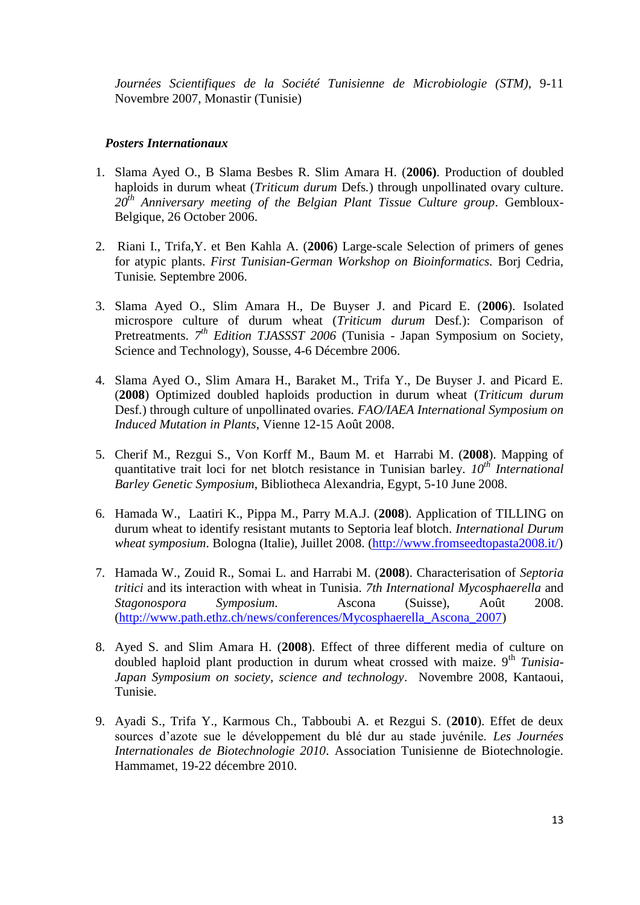*Journées Scientifiques de la Société Tunisienne de Microbiologie (STM)*, 9-11 Novembre 2007, Monastir (Tunisie)

### *Posters Internationaux*

- 1. Slama Ayed O., B Slama Besbes R. Slim Amara H. (**2006)**. Production of doubled haploids in durum wheat (*Triticum durum* Defs*.*) through unpollinated ovary culture. *20th Anniversary meeting of the Belgian Plant Tissue Culture group*. Gembloux-Belgique, 26 October 2006.
- 2. Riani I., Trifa,Y. et Ben Kahla A. (**2006**) Large-scale Selection of primers of genes for atypic plants. *First Tunisian-German Workshop on Bioinformatics.* Borj Cedria, Tunisie*.* Septembre 2006.
- 3. Slama Ayed O., Slim Amara H., De Buyser J. and Picard E. (**2006**). Isolated microspore culture of durum wheat (*Triticum durum* Desf*.*): Comparison of Pretreatments. 7<sup>th</sup> Edition TJASSST 2006 (Tunisia - Japan Symposium on Society, Science and Technology)*,* Sousse, 4-6 Décembre 2006.
- 4. Slama Ayed O., Slim Amara H., Baraket M., Trifa Y., De Buyser J. and Picard E. (**2008**) Optimized doubled haploids production in durum wheat (*Triticum durum*  Desf*.*) through culture of unpollinated ovaries*. FAO/IAEA International Symposium on Induced Mutation in Plants*, Vienne 12-15 Août 2008.
- 5. Cherif M., Rezgui S., Von Korff M., Baum M. et Harrabi M. (**2008**). Mapping of quantitative trait loci for net blotch resistance in Tunisian barley. *10th International Barley Genetic Symposium*, Bibliotheca Alexandria, Egypt, 5-10 June 2008.
- 6. Hamada W., Laatiri K., Pippa M., Parry M.A.J. (**2008**). Application of TILLING on durum wheat to identify resistant mutants to Septoria leaf blotch. *International Durum wheat symposium.* Bologna (Italie), Juillet 2008. [\(http://www.fromseedtopasta2008.it/\)](http://www.fromseedtopasta2008.it/)
- 7. Hamada W., Zouid R., Somai L. and Harrabi M. (**2008**). Characterisation of *Septoria tritici* and its interaction with wheat in Tunisia. *7th International Mycosphaerella* and *Stagonospora Symposium*. Ascona (Suisse), Août 2008. [\(http://www.path.ethz.ch/news/conferences/Mycosphaerella\\_Ascona\\_2007\)](http://www.path.ethz.ch/news/conferences/Mycosphaerella_Ascona_2007)
- 8. Ayed S. and Slim Amara H. (**2008**). Effect of three different media of culture on doubled haploid plant production in durum wheat crossed with maize. 9<sup>th</sup> *Tunisia-Japan Symposium on society, science and technology*. Novembre 2008, Kantaoui, Tunisie.
- 9. Ayadi S., Trifa Y., Karmous Ch., Tabboubi A. et Rezgui S. (**2010**). Effet de deux sources d'azote sue le développement du blé dur au stade juvénile. *Les Journées Internationales de Biotechnologie 2010*. Association Tunisienne de Biotechnologie. Hammamet, 19-22 décembre 2010.